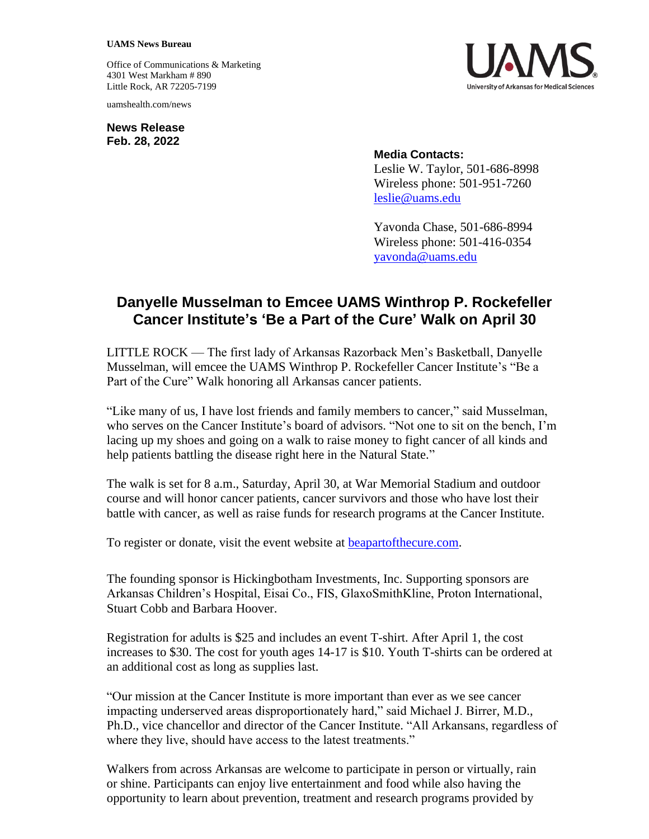## **UAMS News Bureau**

Office of Communications & Marketing 4301 West Markham # 890 Little Rock, AR 72205-7199

uamshealth.com/news

**News Release Feb. 28, 2022**



**Media Contacts:** Leslie W. Taylor, 501-686-8998 Wireless phone: 501-951-7260 [leslie@uams.edu](mailto:leslie@uams.edu)

Yavonda Chase, 501-686-8994 Wireless phone: 501-416-0354 [yavonda@uams.edu](mailto:yavonda@uams.edu)

## **Danyelle Musselman to Emcee UAMS Winthrop P. Rockefeller Cancer Institute's 'Be a Part of the Cure' Walk on April 30**

LITTLE ROCK — The first lady of Arkansas Razorback Men's Basketball, Danyelle Musselman, will emcee the UAMS Winthrop P. Rockefeller Cancer Institute's "Be a Part of the Cure" Walk honoring all Arkansas cancer patients.

"Like many of us, I have lost friends and family members to cancer," said Musselman, who serves on the Cancer Institute's board of advisors. "Not one to sit on the bench, I'm lacing up my shoes and going on a walk to raise money to fight cancer of all kinds and help patients battling the disease right here in the Natural State."

The walk is set for 8 a.m., Saturday, April 30, at War Memorial Stadium and outdoor course and will honor cancer patients, cancer survivors and those who have lost their battle with cancer, as well as raise funds for research programs at the Cancer Institute.

To register or donate, visit the event website at [beapartofthecure.com.](https://cancer.uams.edu/cure/)

The founding sponsor is Hickingbotham Investments, Inc. Supporting sponsors are Arkansas Children's Hospital, Eisai Co., FIS, GlaxoSmithKline, Proton International, Stuart Cobb and Barbara Hoover.

Registration for adults is \$25 and includes an event T-shirt. After April 1, the cost increases to \$30. The cost for youth ages 14-17 is \$10. Youth T-shirts can be ordered at an additional cost as long as supplies last.

"Our mission at the Cancer Institute is more important than ever as we see cancer impacting underserved areas disproportionately hard," said Michael J. Birrer, M.D., Ph.D., vice chancellor and director of the Cancer Institute. "All Arkansans, regardless of where they live, should have access to the latest treatments."

Walkers from across Arkansas are welcome to participate in person or virtually, rain or shine. Participants can enjoy live entertainment and food while also having the opportunity to learn about prevention, treatment and research programs provided by